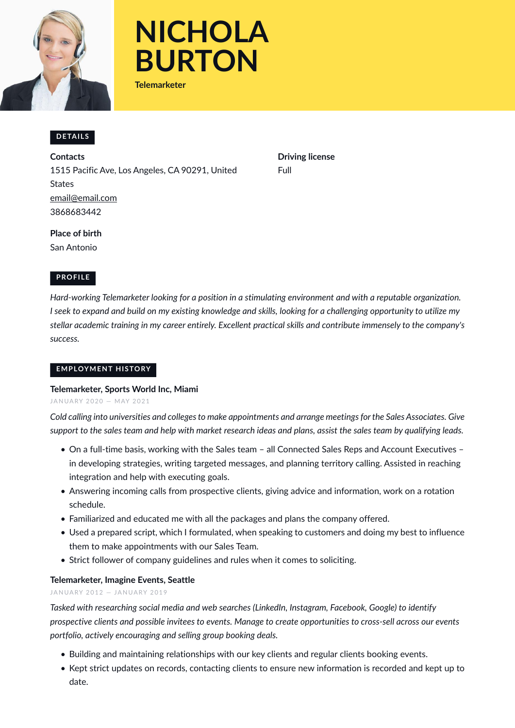



**Telemarketer**

## **DETAILS**

**Contacts** 1515 Pacific Ave, Los Angeles, CA 90291, United States [email@email.com](mailto:email@email.com) 3868683442

**Driving license** Full

**Place of birth** San Antonio

# **PROFILE**

*Hard-working Telemarketer looking for a position in a stimulating environment and with a reputable organization. I* seek to expand and build on my existing knowledge and skills, looking for a challenging opportunity to utilize my *stellar academic training in my career entirely. Excellent practical skills and contribute immensely to the company's success.*

#### **EMPLOYMENT HISTORY**

#### **Telemarkete[r, Sports World Inc, Miami](mailto:email@email.com)**

JANUARY 2020 - MAY 2021

*Cold calling into universities and colleges to make appointments and arrange meetings for the Sales Associates. Give support to the sales team and help with market research ideas and plans, assist the sales team by qualifying leads.*

- On a full-time basis, working with the Sales team all Connected Sales Reps and Account Executives in developing strategies, writing targeted messages, and planning territory calling. Assisted in reaching integration and help with executing goals.
- Answering incoming calls from prospective clients, giving advice and information, work on a rotation schedule.
- Familiarized and educated me with all the packages and plans the company offered.
- Used a prepared script, which I formulated, when speaking to customers and doing my best to influence them to make appointments with our Sales Team.
- Strict follower of company guidelines and rules when it comes to soliciting.

## **Telemarketer, Imagine Events, Seattle**

JANUARY 2012 - JANUARY 2019

*Tasked with researching social media and web searches (LinkedIn, Instagram, Facebook, Google) to identify prospective clients and possible invitees to events. Manage to create opportunities to cross-sell across our events portfolio, actively encouraging and selling group booking deals.*

- Building and maintaining relationships with our key clients and regular clients booking events.
- Kept strict updates on records, contacting clients to ensure new information is recorded and kept up to date.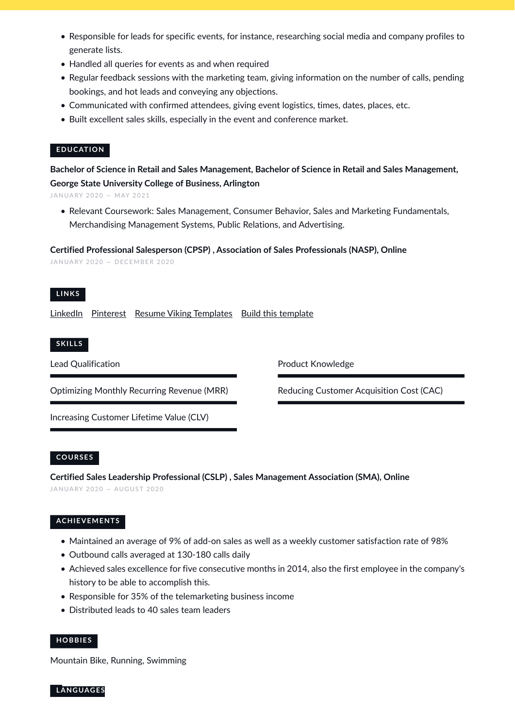- Responsible for leads for specific events, for instance, researching social media and company profiles to generate lists.
- Handled all queries for events as and when required
- Regular feedback sessions with the marketing team, giving information on the number of calls, pending bookings, and hot leads and conveying any objections.
- Communicated with confirmed attendees, giving event logistics, times, dates, places, etc.
- Built excellent sales skills, especially in the event and conference market.

## **EDUCATION**

**Bachelor of Science in Retail and Sales Management, Bachelor of Science in Retail and Sales Management, George State University College of Business, Arlington**

JANUARY 2020 - MAY 2021

• Relevant Coursework: Sales Management, Consumer Behavior, Sales and Marketing Fundamentals, Merchandising Management Systems, Public Relations, and Advertising.

**Certified Professional Salesperson (CPSP) , Association of Sales Professionals (NASP), Online**

JANUARY 2020 - DECEMBER 2020

## **L I N K S**

[LinkedIn](https://www.linkedin.com/) [Pinterest](https://www.pinterest.es/resumeviking/) [Resume Viking Templates](https://www.resumeviking.com/templates/word/) [Build this template](https://resume.io/?id=cpdokyF1)

#### **S K I L L S**

Lead Qualification

Optimizing Monthly Recurring Revenue (MRR)

Increasing Customer Lifetime Value (CLV)

## **CO U R S E S**

**Certified Sales Leadership Professional (CSLP) , Sales Management Association (SMA), Online** JANUARY 2020 - AUGUST 2020

## **AC H I E V E M E N T S**

- Maintained an average of 9% of add-on sales as well as a weekly customer satisfaction rate of 98%
- Outbound calls averaged at 130-180 calls daily
- Achieved sales excellence for five consecutive months in 2014, also the first employee in the company's history to be able to accomplish this.
- Responsible for 35% of the telemarketing business income
- Distributed leads to 40 sales team leaders

## **H O B B I E S**

Mountain Bike, Running, Swimming

**L A N G UAG E S**

Product Knowledge

Reducing Customer Acquisition Cost (CAC)